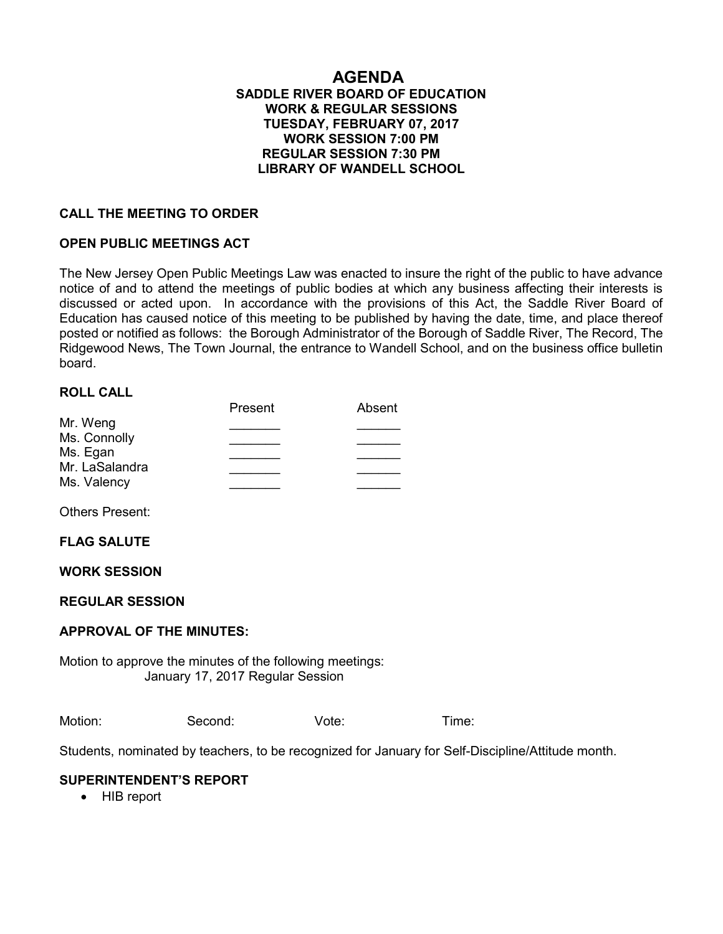#### **AGENDA SADDLE RIVER BOARD OF EDUCATION WORK & REGULAR SESSIONS TUESDAY, FEBRUARY 07, 2017 WORK SESSION 7:00 PM REGULAR SESSION 7:30 PM LIBRARY OF WANDELL SCHOOL**

### **CALL THE MEETING TO ORDER**

### **OPEN PUBLIC MEETINGS ACT**

The New Jersey Open Public Meetings Law was enacted to insure the right of the public to have advance notice of and to attend the meetings of public bodies at which any business affecting their interests is discussed or acted upon. In accordance with the provisions of this Act, the Saddle River Board of Education has caused notice of this meeting to be published by having the date, time, and place thereof posted or notified as follows: the Borough Administrator of the Borough of Saddle River, The Record, The Ridgewood News, The Town Journal, the entrance to Wandell School, and on the business office bulletin board.

### **ROLL CALL**

| Present | Absent |
|---------|--------|
|         |        |
|         |        |
|         |        |
|         |        |
|         |        |
|         |        |

Others Present:

#### **FLAG SALUTE**

### **WORK SESSION**

#### **REGULAR SESSION**

#### **APPROVAL OF THE MINUTES:**

Motion to approve the minutes of the following meetings: January 17, 2017 Regular Session

Motion: Second: Vote: Time:

Students, nominated by teachers, to be recognized for January for Self-Discipline/Attitude month.

#### **SUPERINTENDENT'S REPORT**

• HIB report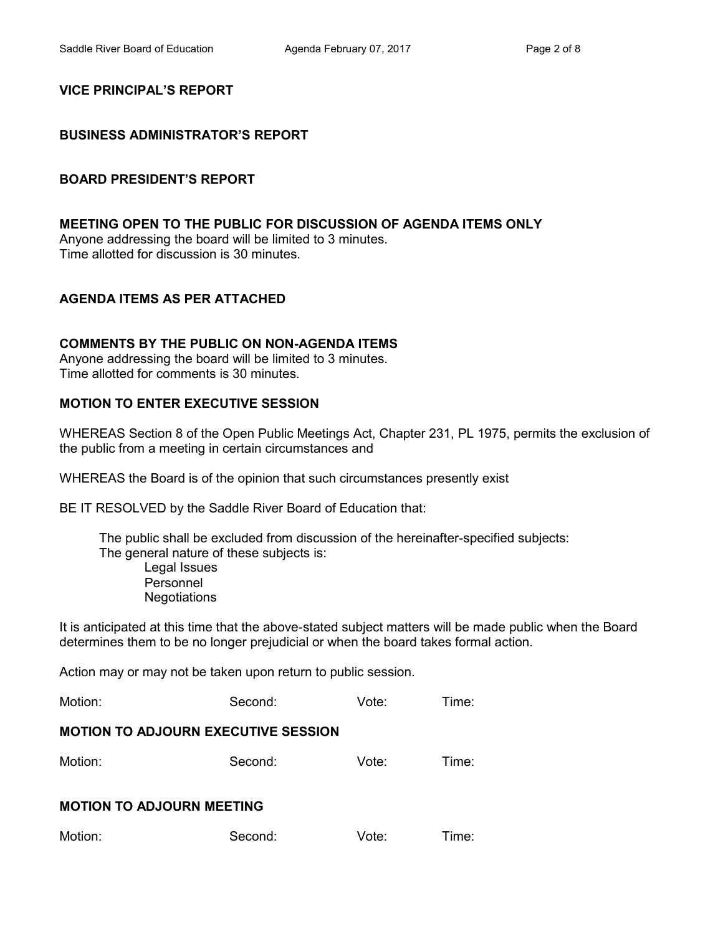# **VICE PRINCIPAL'S REPORT**

# **BUSINESS ADMINISTRATOR'S REPORT**

# **BOARD PRESIDENT'S REPORT**

# **MEETING OPEN TO THE PUBLIC FOR DISCUSSION OF AGENDA ITEMS ONLY**

Anyone addressing the board will be limited to 3 minutes. Time allotted for discussion is 30 minutes.

# **AGENDA ITEMS AS PER ATTACHED**

# **COMMENTS BY THE PUBLIC ON NON-AGENDA ITEMS**

Anyone addressing the board will be limited to 3 minutes. Time allotted for comments is 30 minutes.

# **MOTION TO ENTER EXECUTIVE SESSION**

WHEREAS Section 8 of the Open Public Meetings Act, Chapter 231, PL 1975, permits the exclusion of the public from a meeting in certain circumstances and

WHEREAS the Board is of the opinion that such circumstances presently exist

BE IT RESOLVED by the Saddle River Board of Education that:

 The public shall be excluded from discussion of the hereinafter-specified subjects: The general nature of these subjects is:

Legal Issues Personnel **Negotiations** 

It is anticipated at this time that the above-stated subject matters will be made public when the Board determines them to be no longer prejudicial or when the board takes formal action.

Action may or may not be taken upon return to public session.

| Motion: | Second: | Vote: | Time: |
|---------|---------|-------|-------|
|---------|---------|-------|-------|

# **MOTION TO ADJOURN EXECUTIVE SESSION**

| Motion: | Second: | Vote: | Time: |
|---------|---------|-------|-------|
|         |         |       |       |

# **MOTION TO ADJOURN MEETING**

| Motion:<br>Vote:<br>Second: | Time: |
|-----------------------------|-------|
|-----------------------------|-------|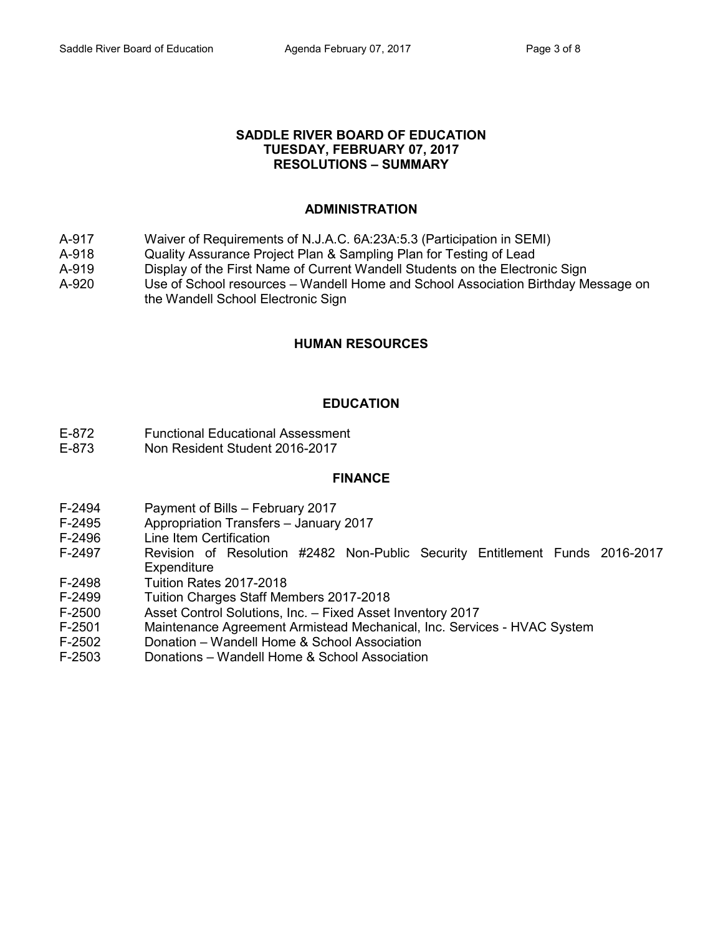#### **SADDLE RIVER BOARD OF EDUCATION TUESDAY, FEBRUARY 07, 2017 RESOLUTIONS – SUMMARY**

# **ADMINISTRATION**

- A-917 Waiver of Requirements of N.J.A.C. 6A:23A:5.3 (Participation in SEMI)
- A-918 Quality Assurance Project Plan & Sampling Plan for Testing of Lead
- A-919 Display of the First Name of Current Wandell Students on the Electronic Sign
- A-920 Use of School resources Wandell Home and School Association Birthday Message on
- the Wandell School Electronic Sign

# **HUMAN RESOURCES**

# **EDUCATION**

- E-872 Functional Educational Assessment
- E-873 Non Resident Student 2016-2017

#### **FINANCE**

- F-2494 Payment of Bills February 2017
- F-2495 Appropriation Transfers January 2017
- F-2496 Line Item Certification<br>F-2497 Revision of Resoluti
- Revision of Resolution #2482 Non-Public Security Entitlement Funds 2016-2017 **Expenditure**
- F-2498 Tuition Rates 2017-2018
- F-2499 Tuition Charges Staff Members 2017-2018
- F-2500 Asset Control Solutions, Inc. Fixed Asset Inventory 2017
- F-2501 Maintenance Agreement Armistead Mechanical, Inc. Services HVAC System
- F-2502 Donation Wandell Home & School Association
- F-2503 Donations Wandell Home & School Association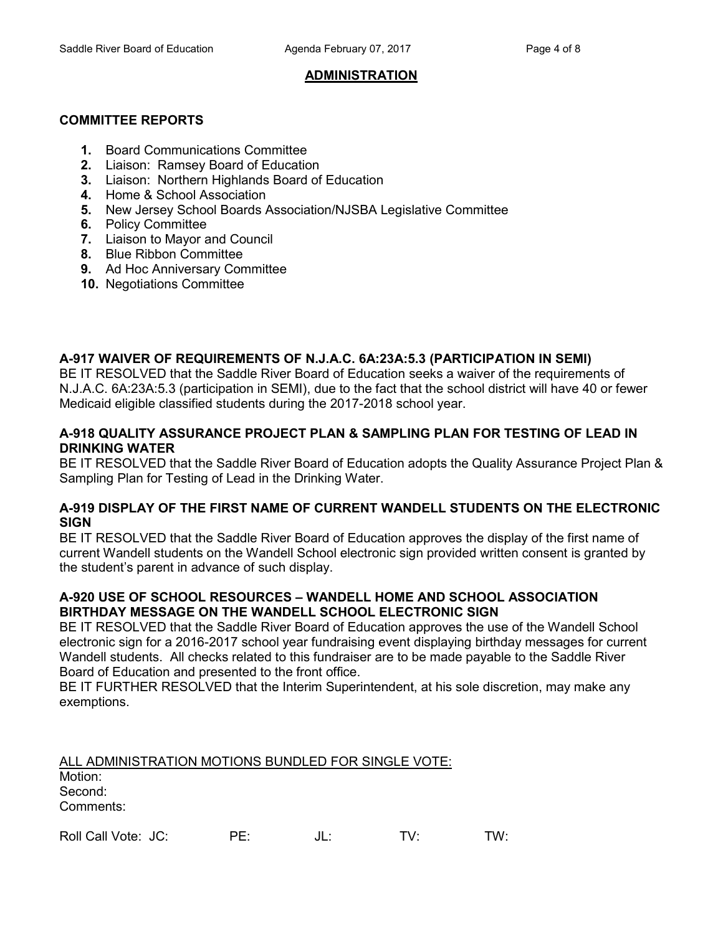# **ADMINISTRATION**

# **COMMITTEE REPORTS**

- **1.** Board Communications Committee
- **2.** Liaison: Ramsey Board of Education
- **3.** Liaison: Northern Highlands Board of Education
- **4.** Home & School Association
- **5.** New Jersey School Boards Association/NJSBA Legislative Committee
- **6.** Policy Committee
- **7.** Liaison to Mayor and Council
- **8.** Blue Ribbon Committee
- **9.** Ad Hoc Anniversary Committee
- **10.** Negotiations Committee

# **A-917 WAIVER OF REQUIREMENTS OF N.J.A.C. 6A:23A:5.3 (PARTICIPATION IN SEMI)**

BE IT RESOLVED that the Saddle River Board of Education seeks a waiver of the requirements of N.J.A.C. 6A:23A:5.3 (participation in SEMI), due to the fact that the school district will have 40 or fewer Medicaid eligible classified students during the 2017-2018 school year.

### **A-918 QUALITY ASSURANCE PROJECT PLAN & SAMPLING PLAN FOR TESTING OF LEAD IN DRINKING WATER**

BE IT RESOLVED that the Saddle River Board of Education adopts the Quality Assurance Project Plan & Sampling Plan for Testing of Lead in the Drinking Water.

### **A-919 DISPLAY OF THE FIRST NAME OF CURRENT WANDELL STUDENTS ON THE ELECTRONIC SIGN**

BE IT RESOLVED that the Saddle River Board of Education approves the display of the first name of current Wandell students on the Wandell School electronic sign provided written consent is granted by the student's parent in advance of such display.

### **A-920 USE OF SCHOOL RESOURCES – WANDELL HOME AND SCHOOL ASSOCIATION BIRTHDAY MESSAGE ON THE WANDELL SCHOOL ELECTRONIC SIGN**

BE IT RESOLVED that the Saddle River Board of Education approves the use of the Wandell School electronic sign for a 2016-2017 school year fundraising event displaying birthday messages for current Wandell students. All checks related to this fundraiser are to be made payable to the Saddle River Board of Education and presented to the front office.

BE IT FURTHER RESOLVED that the Interim Superintendent, at his sole discretion, may make any exemptions.

| ALL ADMINISTRATION MOTIONS BUNDLED FOR SINGLE VOTE: |     |     |     |
|-----------------------------------------------------|-----|-----|-----|
| Motion:                                             |     |     |     |
| Second:                                             |     |     |     |
| Comments:                                           |     |     |     |
| Roll Call Vote: JC:                                 | PF∙ | TV∙ | TW∙ |
|                                                     |     |     |     |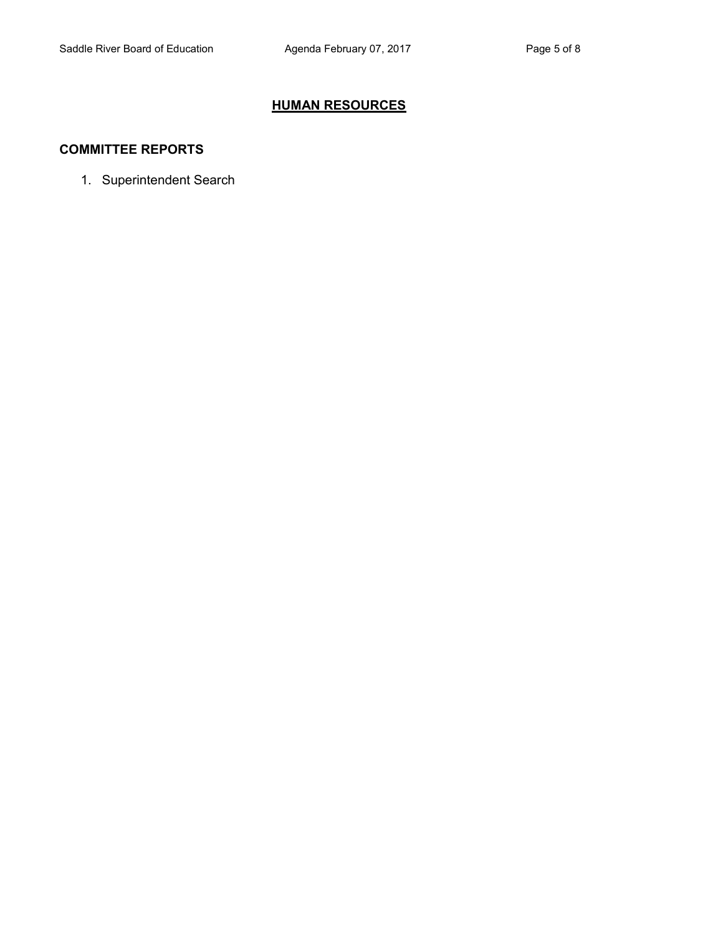# **HUMAN RESOURCES**

### **COMMITTEE REPORTS**

1. Superintendent Search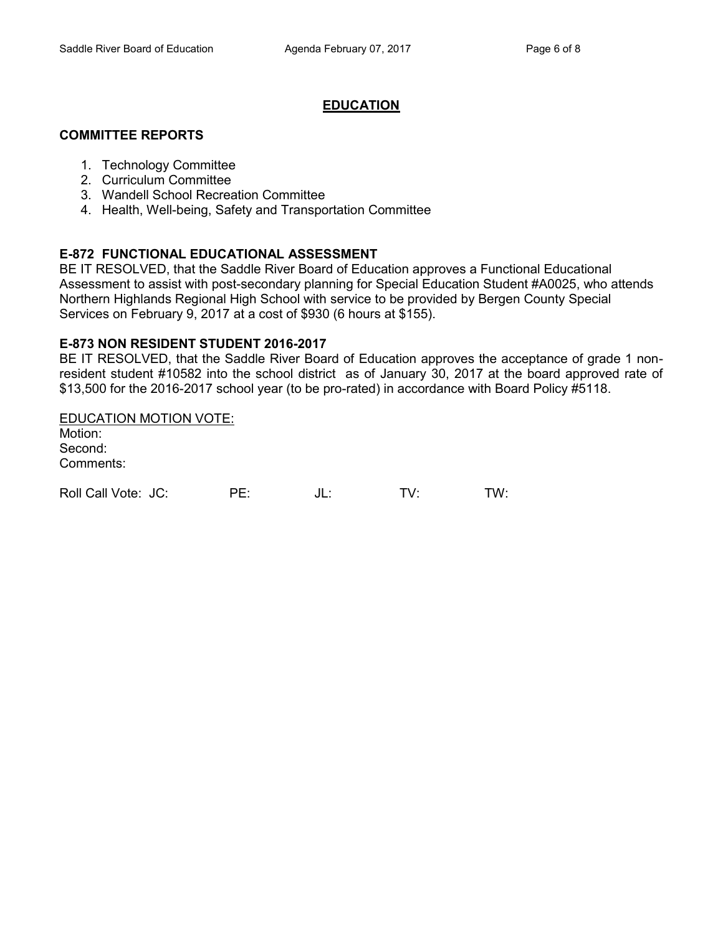### **EDUCATION**

#### **COMMITTEE REPORTS**

- 1. Technology Committee
- 2. Curriculum Committee
- 3. Wandell School Recreation Committee
- 4. Health, Well-being, Safety and Transportation Committee

### **E-872 FUNCTIONAL EDUCATIONAL ASSESSMENT**

BE IT RESOLVED, that the Saddle River Board of Education approves a Functional Educational Assessment to assist with post-secondary planning for Special Education Student #A0025, who attends Northern Highlands Regional High School with service to be provided by Bergen County Special Services on February 9, 2017 at a cost of \$930 (6 hours at \$155).

### **E-873 NON RESIDENT STUDENT 2016-2017**

BE IT RESOLVED, that the Saddle River Board of Education approves the acceptance of grade 1 nonresident student #10582 into the school district as of January 30, 2017 at the board approved rate of \$13,500 for the 2016-2017 school year (to be pro-rated) in accordance with Board Policy #5118.

EDUCATION MOTION VOTE: Motion: Second: Comments:

| Roll Call Vote: JC: | DE | JL. | TW: |
|---------------------|----|-----|-----|
|                     |    |     |     |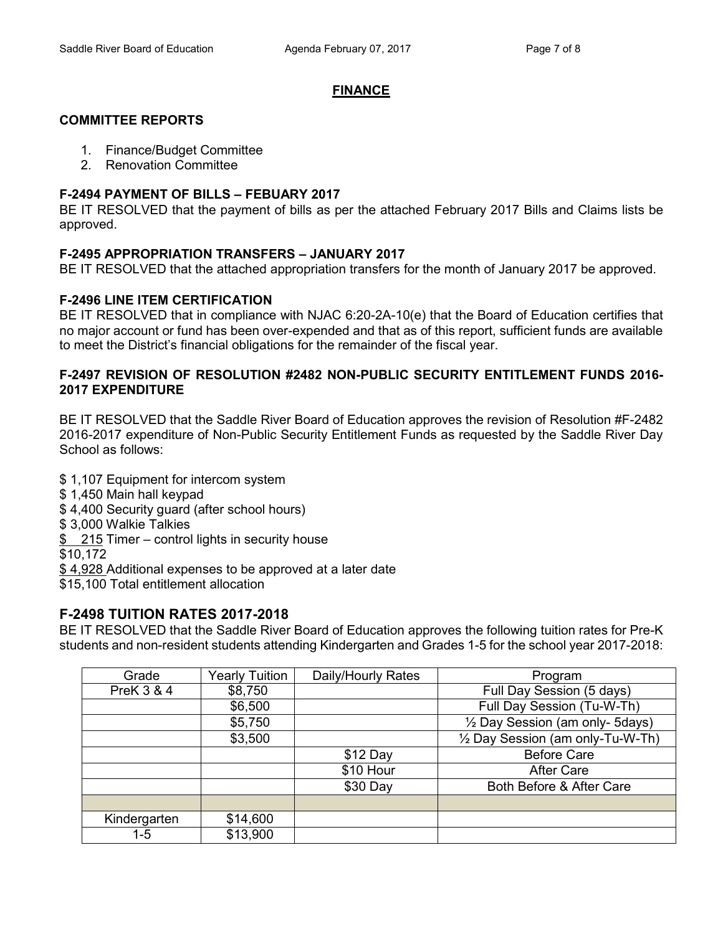### **FINANCE**

# **COMMITTEE REPORTS**

- 1. Finance/Budget Committee
- 2. Renovation Committee

# **F-2494 PAYMENT OF BILLS – FEBUARY 2017**

BE IT RESOLVED that the payment of bills as per the attached February 2017 Bills and Claims lists be approved.

# **F-2495 APPROPRIATION TRANSFERS – JANUARY 2017**

BE IT RESOLVED that the attached appropriation transfers for the month of January 2017 be approved.

# **F-2496 LINE ITEM CERTIFICATION**

BE IT RESOLVED that in compliance with NJAC 6:20-2A-10(e) that the Board of Education certifies that no major account or fund has been over-expended and that as of this report, sufficient funds are available to meet the District's financial obligations for the remainder of the fiscal year.

### **F-2497 REVISION OF RESOLUTION #2482 NON-PUBLIC SECURITY ENTITLEMENT FUNDS 2016- 2017 EXPENDITURE**

BE IT RESOLVED that the Saddle River Board of Education approves the revision of Resolution #F-2482 2016-2017 expenditure of Non-Public Security Entitlement Funds as requested by the Saddle River Day School as follows:

\$ 1,107 Equipment for intercom system

- \$ 1,450 Main hall keypad
- \$ 4,400 Security guard (after school hours)

\$ 3,000 Walkie Talkies

\$ 215 Timer – control lights in security house

\$10,172

\$ 4,928 Additional expenses to be approved at a later date

\$15,100 Total entitlement allocation

# **F-2498 TUITION RATES 2017-2018**

BE IT RESOLVED that the Saddle River Board of Education approves the following tuition rates for Pre-K students and non-resident students attending Kindergarten and Grades 1-5 for the school year 2017-2018:

| Grade                 | <b>Yearly Tuition</b> | Daily/Hourly Rates | Program                                    |
|-----------------------|-----------------------|--------------------|--------------------------------------------|
| <b>PreK 3 &amp; 4</b> | \$8,750               |                    | Full Day Session (5 days)                  |
|                       | \$6,500               |                    | Full Day Session (Tu-W-Th)                 |
|                       | \$5,750               |                    | $\frac{1}{2}$ Day Session (am only- 5days) |
|                       | \$3,500               |                    | 1/2 Day Session (am only-Tu-W-Th)          |
|                       |                       | $$12$ Day          | <b>Before Care</b>                         |
|                       |                       | \$10 Hour          | <b>After Care</b>                          |
|                       |                       | \$30 Day           | Both Before & After Care                   |
|                       |                       |                    |                                            |
| Kindergarten          | \$14,600              |                    |                                            |
| $1 - 5$               | \$13,900              |                    |                                            |